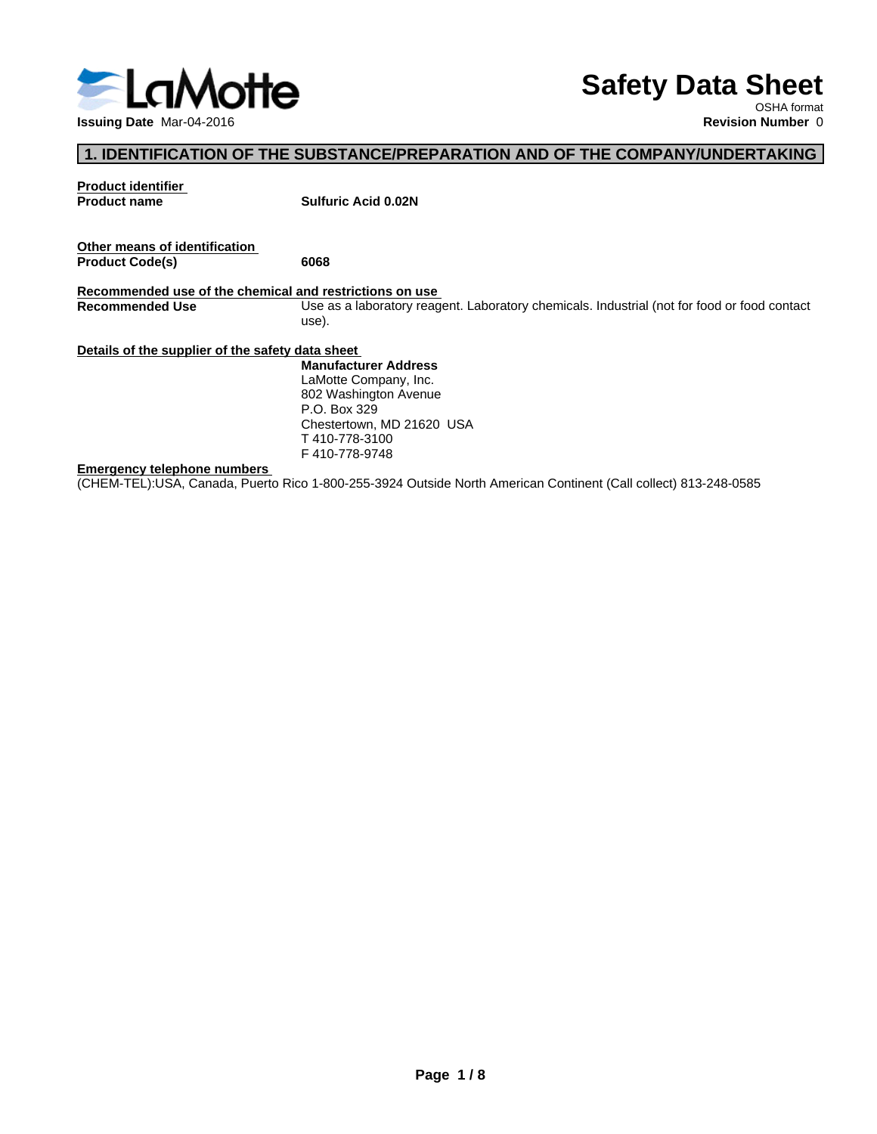

# **Safety Data Sheet**

OSHA format

#### **1. IDENTIFICATION OF THE SUBSTANCE/PREPARATION AND OF THE COMPANY/UNDERTAKING**

**Product identifier Product name Sulfuric Acid 0.02N Other means of identification**<br>**Product Code(s)** 6068  $Product Code(s)$ **Recommended use of the chemical and restrictions on use** Use as a laboratory reagent. Laboratory chemicals. Industrial (not for food or food contact use). **Details of the supplier of the safety data sheet Emergency telephone numbers** (CHEM-TEL):USA, Canada, Puerto Rico 1-800-255-3924 Outside North American Continent (Call collect) 813-248-0585 **Manufacturer Address** LaMotte Company, Inc. 802 Washington Avenue P.O. Box 329 Chestertown, MD 21620 USA T 410-778-3100 F 410-778-9748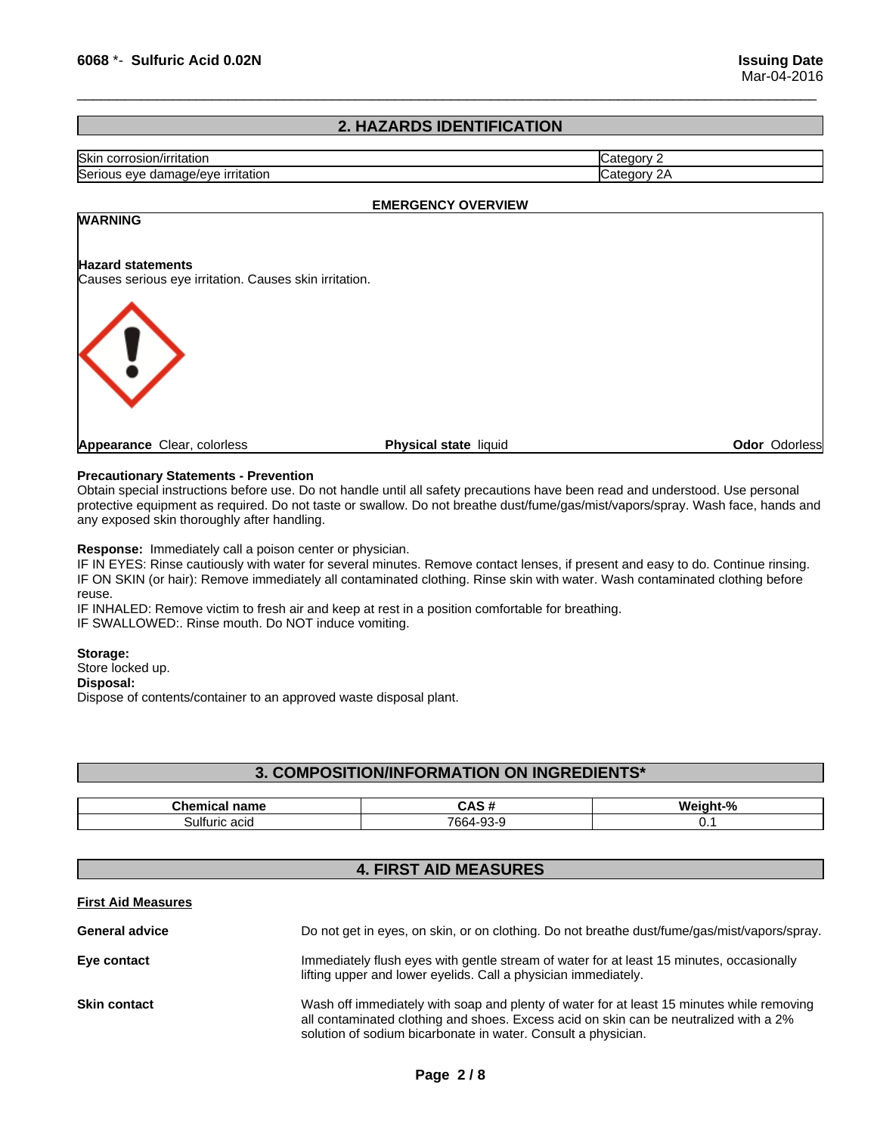#### **2. HAZARDS IDENTIFICATION**

 $\overline{\phantom{a}}$  ,  $\overline{\phantom{a}}$  ,  $\overline{\phantom{a}}$  ,  $\overline{\phantom{a}}$  ,  $\overline{\phantom{a}}$  ,  $\overline{\phantom{a}}$  ,  $\overline{\phantom{a}}$  ,  $\overline{\phantom{a}}$  ,  $\overline{\phantom{a}}$  ,  $\overline{\phantom{a}}$  ,  $\overline{\phantom{a}}$  ,  $\overline{\phantom{a}}$  ,  $\overline{\phantom{a}}$  ,  $\overline{\phantom{a}}$  ,  $\overline{\phantom{a}}$  ,  $\overline{\phantom{a}}$ 

| Skin<br>$1.0001 + 0.0000$<br>ritatior<br>corrosior<br>U 11 |  |
|------------------------------------------------------------|--|
| ~<br><u>ırrıtatıor</u><br>, damage/eve<br>Serious<br>eve   |  |

#### **EMERGENCY OVERVIEW**

# **WARNING Hazard statements** Causes serious eye irritation. Causes skin irritation. **Appearance** Clear, colorless **Physical state** liquid **Odor** Odorless

#### **Precautionary Statements - Prevention**

Obtain special instructions before use. Do not handle until all safety precautions have been read and understood. Use personal protective equipment as required. Do not taste or swallow. Do not breathe dust/fume/gas/mist/vapors/spray. Wash face, hands and any exposed skin thoroughly after handling.

**Response:** Immediately call a poison center or physician.

IF IN EYES: Rinse cautiously with water for several minutes. Remove contact lenses, if present and easy to do. Continue rinsing. IF ON SKIN (or hair): Remove immediately all contaminated clothing. Rinse skin with water. Wash contaminated clothing before reuse.

IF INHALED: Remove victim to fresh air and keep at rest in a position comfortable for breathing. IF SWALLOWED:. Rinse mouth. Do NOT induce vomiting.

#### **Storage:**

Store locked up. **Disposal:** Dispose of contents/container to an approved waste disposal plant.

#### **3. COMPOSITION/INFORMATION ON INGREDIENTS\***

| name<br>,,,,<br>.        | unu                    |         |
|--------------------------|------------------------|---------|
| ulturic<br>יים בי<br>auu | $\sim$<br>7664-9.<br>ີ | $\cdot$ |

#### **4. FIRST AID MEASURES**

#### **First Aid Measures**

| <b>General advice</b> | Do not get in eyes, on skin, or on clothing. Do not breathe dust/fume/gas/mist/vapors/spray.                                                                                                                                                        |
|-----------------------|-----------------------------------------------------------------------------------------------------------------------------------------------------------------------------------------------------------------------------------------------------|
| Eye contact           | Immediately flush eyes with gentle stream of water for at least 15 minutes, occasionally<br>lifting upper and lower eyelids. Call a physician immediately.                                                                                          |
| <b>Skin contact</b>   | Wash off immediately with soap and plenty of water for at least 15 minutes while removing<br>all contaminated clothing and shoes. Excess acid on skin can be neutralized with a 2%<br>solution of sodium bicarbonate in water. Consult a physician. |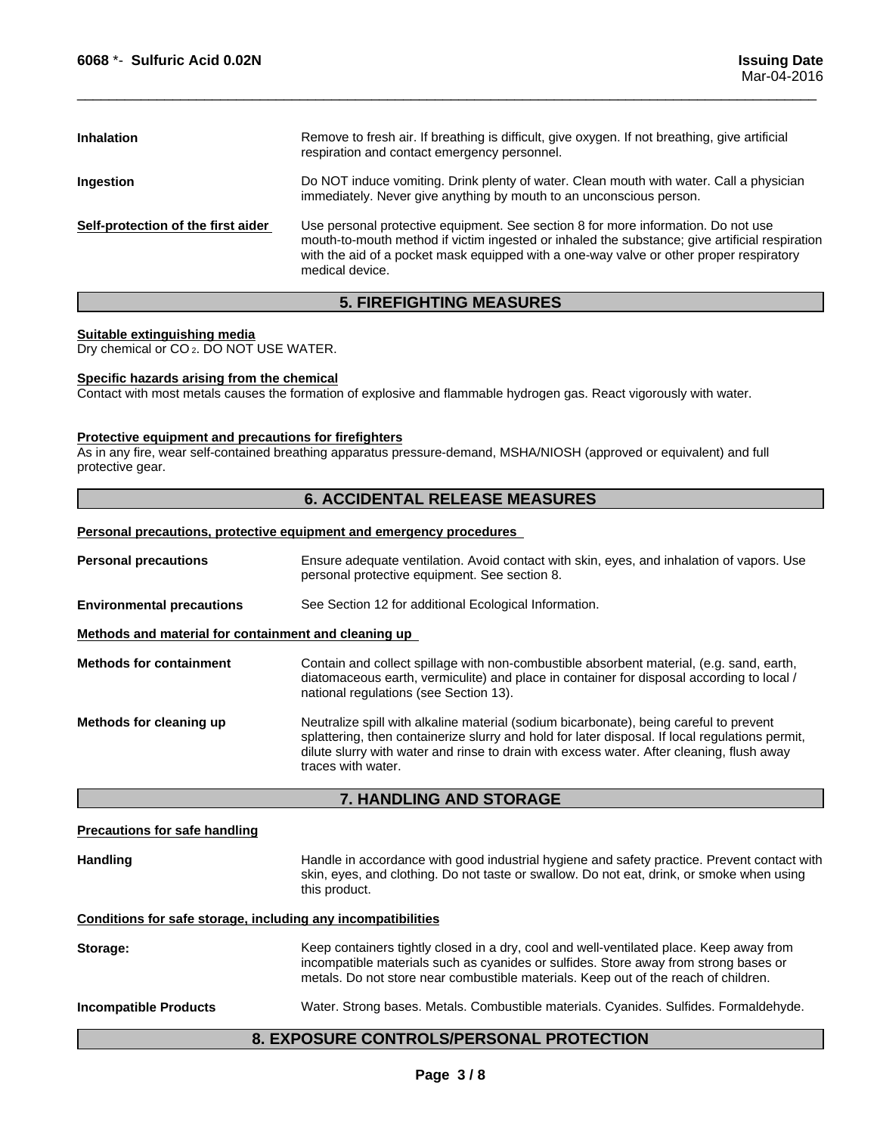| <b>Inhalation</b>                  | Remove to fresh air. If breathing is difficult, give oxygen. If not breathing, give artificial<br>respiration and contact emergency personnel.                                                                                                                                                    |
|------------------------------------|---------------------------------------------------------------------------------------------------------------------------------------------------------------------------------------------------------------------------------------------------------------------------------------------------|
| Ingestion                          | Do NOT induce vomiting. Drink plenty of water. Clean mouth with water. Call a physician<br>immediately. Never give anything by mouth to an unconscious person.                                                                                                                                    |
| Self-protection of the first aider | Use personal protective equipment. See section 8 for more information. Do not use<br>mouth-to-mouth method if victim ingested or inhaled the substance; give artificial respiration<br>with the aid of a pocket mask equipped with a one-way valve or other proper respiratory<br>medical device. |

 $\overline{\phantom{a}}$  ,  $\overline{\phantom{a}}$  ,  $\overline{\phantom{a}}$  ,  $\overline{\phantom{a}}$  ,  $\overline{\phantom{a}}$  ,  $\overline{\phantom{a}}$  ,  $\overline{\phantom{a}}$  ,  $\overline{\phantom{a}}$  ,  $\overline{\phantom{a}}$  ,  $\overline{\phantom{a}}$  ,  $\overline{\phantom{a}}$  ,  $\overline{\phantom{a}}$  ,  $\overline{\phantom{a}}$  ,  $\overline{\phantom{a}}$  ,  $\overline{\phantom{a}}$  ,  $\overline{\phantom{a}}$ 

#### **5. FIREFIGHTING MEASURES**

#### **Suitable extinguishing media**

Dry chemical or CO<sub>2</sub>. DO NOT USE WATER.

#### **Specific hazards arising from the chemical**

Contact with most metals causes the formation of explosive and flammable hydrogen gas. React vigorously with water.

#### **Protective equipment and precautions for firefighters**

As in any fire, wear self-contained breathing apparatus pressure-demand, MSHA/NIOSH (approved or equivalent) and full protective gear.

#### **6. ACCIDENTAL RELEASE MEASURES**

#### **Personal precautions, protective equipment and emergency procedures**

| <b>Personal precautions</b>                          | Ensure adequate ventilation. Avoid contact with skin, eyes, and inhalation of vapors. Use<br>personal protective equipment. See section 8.                                                                                                                                                                   |  |  |
|------------------------------------------------------|--------------------------------------------------------------------------------------------------------------------------------------------------------------------------------------------------------------------------------------------------------------------------------------------------------------|--|--|
| <b>Environmental precautions</b>                     | See Section 12 for additional Ecological Information.                                                                                                                                                                                                                                                        |  |  |
| Methods and material for containment and cleaning up |                                                                                                                                                                                                                                                                                                              |  |  |
| <b>Methods for containment</b>                       | Contain and collect spillage with non-combustible absorbent material, (e.g. sand, earth,<br>diatomaceous earth, vermiculite) and place in container for disposal according to local /<br>national regulations (see Section 13).                                                                              |  |  |
| Methods for cleaning up                              | Neutralize spill with alkaline material (sodium bicarbonate), being careful to prevent<br>splattering, then containerize slurry and hold for later disposal. If local regulations permit,<br>dilute slurry with water and rinse to drain with excess water. After cleaning, flush away<br>traces with water. |  |  |

#### **7. HANDLING AND STORAGE**

## **Precautions for safe handling** Handling **Handle** in accordance with good industrial hygiene and safety practice. Prevent contact with skin, eyes, and clothing. Do not taste or swallow. Do not eat, drink, or smoke when using this product. **Conditions for safe storage, including any incompatibilities Storage:** Keep containers tightly closed in a dry, cool and well-ventilated place. Keep away from incompatible materials such as cyanides or sulfides. Store away from strong bases or metals. Do not store near combustible materials. Keep out of the reach of children. **Incompatible Products** Water. Strong bases. Metals. Combustible materials. Cyanides. Sulfides. Formaldehyde.

#### **8. EXPOSURE CONTROLS/PERSONAL PROTECTION**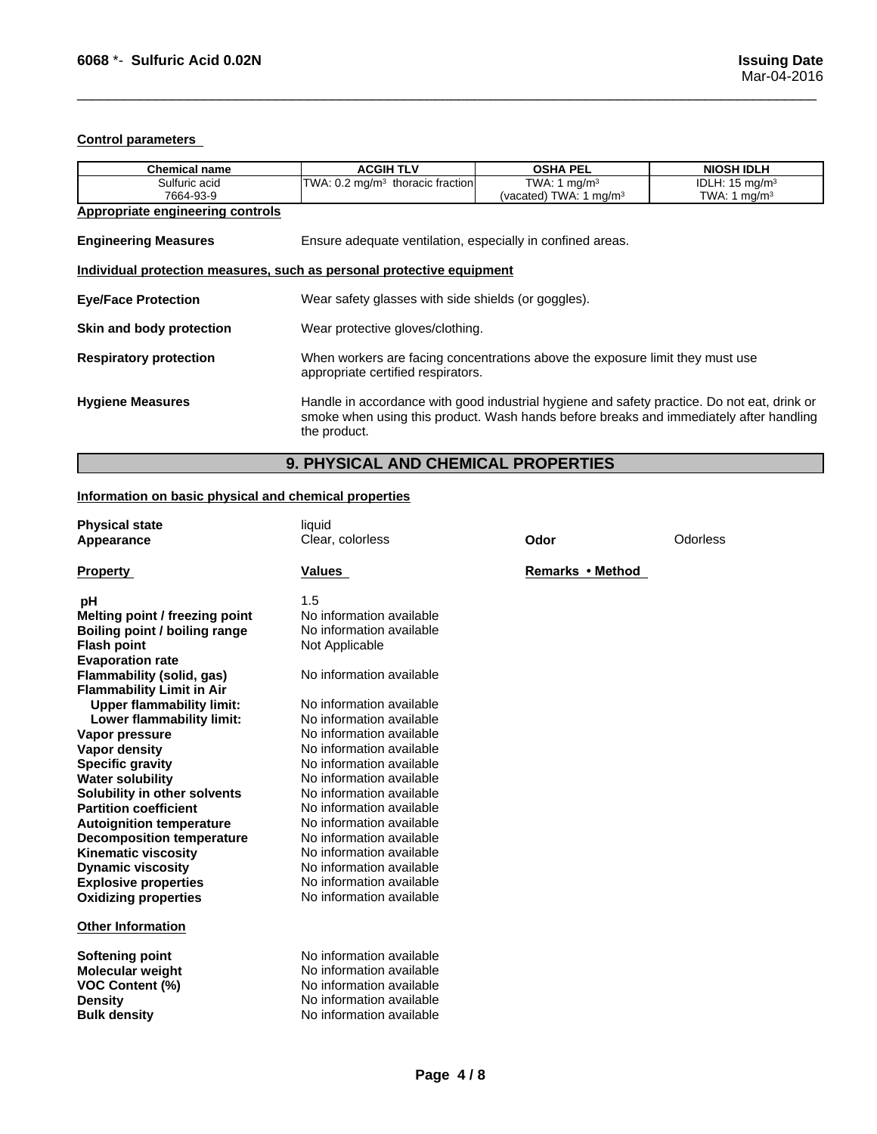#### **Control parameters**

| <b>Chemical name</b>                    | <b>ACGIH TLV</b>                                                                                                                                                                                      | <b>OSHA PEL</b>                    | <b>NIOSH IDLH</b>         |  |
|-----------------------------------------|-------------------------------------------------------------------------------------------------------------------------------------------------------------------------------------------------------|------------------------------------|---------------------------|--|
| Sulfuric acid                           | TWA: $0.2 \text{ mg/m}^3$ thoracic fraction                                                                                                                                                           | TWA: 1 $mq/m3$                     | IDLH: $15 \text{ mg/m}^3$ |  |
| 7664-93-9                               |                                                                                                                                                                                                       | (vacated) TWA: 1 mg/m <sup>3</sup> | TWA: 1 mg/m <sup>3</sup>  |  |
| <b>Appropriate engineering controls</b> |                                                                                                                                                                                                       |                                    |                           |  |
| <b>Engineering Measures</b>             | Ensure adequate ventilation, especially in confined areas.                                                                                                                                            |                                    |                           |  |
|                                         | Individual protection measures, such as personal protective equipment                                                                                                                                 |                                    |                           |  |
| <b>Eye/Face Protection</b>              | Wear safety glasses with side shields (or goggles).                                                                                                                                                   |                                    |                           |  |
| Skin and body protection                |                                                                                                                                                                                                       | Wear protective gloves/clothing.   |                           |  |
| <b>Respiratory protection</b>           | When workers are facing concentrations above the exposure limit they must use<br>appropriate certified respirators.                                                                                   |                                    |                           |  |
| <b>Hygiene Measures</b>                 | Handle in accordance with good industrial hygiene and safety practice. Do not eat, drink or<br>smoke when using this product. Wash hands before breaks and immediately after handling<br>the product. |                                    |                           |  |

 $\overline{\phantom{a}}$  ,  $\overline{\phantom{a}}$  ,  $\overline{\phantom{a}}$  ,  $\overline{\phantom{a}}$  ,  $\overline{\phantom{a}}$  ,  $\overline{\phantom{a}}$  ,  $\overline{\phantom{a}}$  ,  $\overline{\phantom{a}}$  ,  $\overline{\phantom{a}}$  ,  $\overline{\phantom{a}}$  ,  $\overline{\phantom{a}}$  ,  $\overline{\phantom{a}}$  ,  $\overline{\phantom{a}}$  ,  $\overline{\phantom{a}}$  ,  $\overline{\phantom{a}}$  ,  $\overline{\phantom{a}}$ 

### **9. PHYSICAL AND CHEMICAL PROPERTIES**

#### **Information on basic physical and chemical properties**

| <b>Physical state</b><br>Appearance                                                                                  | liquid<br>Clear, colorless                                                                                                               | Odor             | Odorless |
|----------------------------------------------------------------------------------------------------------------------|------------------------------------------------------------------------------------------------------------------------------------------|------------------|----------|
| <b>Property</b>                                                                                                      | <b>Values</b>                                                                                                                            | Remarks • Method |          |
| рH                                                                                                                   | 1.5                                                                                                                                      |                  |          |
| Melting point / freezing point                                                                                       | No information available                                                                                                                 |                  |          |
| <b>Boiling point / boiling range</b>                                                                                 | No information available                                                                                                                 |                  |          |
| <b>Flash point</b>                                                                                                   | Not Applicable                                                                                                                           |                  |          |
| <b>Evaporation rate</b>                                                                                              |                                                                                                                                          |                  |          |
| Flammability (solid, gas)                                                                                            | No information available                                                                                                                 |                  |          |
| <b>Flammability Limit in Air</b>                                                                                     |                                                                                                                                          |                  |          |
| <b>Upper flammability limit:</b>                                                                                     | No information available                                                                                                                 |                  |          |
| Lower flammability limit:                                                                                            | No information available                                                                                                                 |                  |          |
| Vapor pressure                                                                                                       | No information available                                                                                                                 |                  |          |
| Vapor density                                                                                                        | No information available                                                                                                                 |                  |          |
| <b>Specific gravity</b>                                                                                              | No information available<br>No information available                                                                                     |                  |          |
| <b>Water solubility</b>                                                                                              | No information available                                                                                                                 |                  |          |
| Solubility in other solvents<br><b>Partition coefficient</b>                                                         | No information available                                                                                                                 |                  |          |
|                                                                                                                      | No information available                                                                                                                 |                  |          |
| <b>Autoignition temperature</b><br><b>Decomposition temperature</b>                                                  | No information available                                                                                                                 |                  |          |
| <b>Kinematic viscosity</b>                                                                                           | No information available                                                                                                                 |                  |          |
| <b>Dynamic viscosity</b>                                                                                             | No information available                                                                                                                 |                  |          |
| <b>Explosive properties</b>                                                                                          | No information available                                                                                                                 |                  |          |
| <b>Oxidizing properties</b>                                                                                          | No information available                                                                                                                 |                  |          |
| <b>Other Information</b>                                                                                             |                                                                                                                                          |                  |          |
| <b>Softening point</b><br><b>Molecular weight</b><br><b>VOC Content (%)</b><br><b>Density</b><br><b>Bulk density</b> | No information available<br>No information available<br>No information available<br>No information available<br>No information available |                  |          |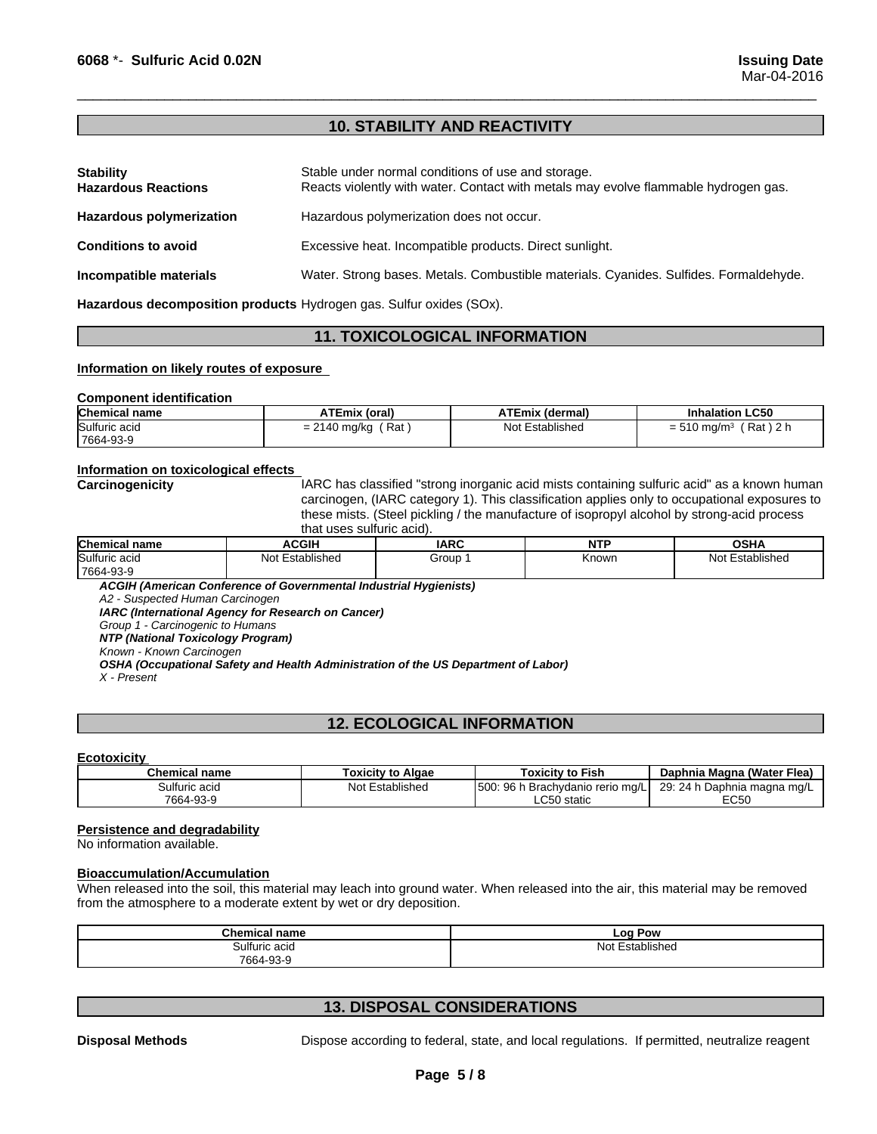#### **10. STABILITY AND REACTIVITY**

 $\overline{\phantom{a}}$  ,  $\overline{\phantom{a}}$  ,  $\overline{\phantom{a}}$  ,  $\overline{\phantom{a}}$  ,  $\overline{\phantom{a}}$  ,  $\overline{\phantom{a}}$  ,  $\overline{\phantom{a}}$  ,  $\overline{\phantom{a}}$  ,  $\overline{\phantom{a}}$  ,  $\overline{\phantom{a}}$  ,  $\overline{\phantom{a}}$  ,  $\overline{\phantom{a}}$  ,  $\overline{\phantom{a}}$  ,  $\overline{\phantom{a}}$  ,  $\overline{\phantom{a}}$  ,  $\overline{\phantom{a}}$ 

| <b>Stability</b><br><b>Hazardous Reactions</b> | Stable under normal conditions of use and storage.<br>Reacts violently with water. Contact with metals may evolve flammable hydrogen gas. |
|------------------------------------------------|-------------------------------------------------------------------------------------------------------------------------------------------|
| <b>Hazardous polymerization</b>                | Hazardous polymerization does not occur.                                                                                                  |
| <b>Conditions to avoid</b>                     | Excessive heat. Incompatible products. Direct sunlight.                                                                                   |
| Incompatible materials                         | Water. Strong bases. Metals. Combustible materials. Cyanides. Sulfides. Formaldehyde.                                                     |

**Hazardous decomposition products** Hydrogen gas. Sulfur oxides (SOx).

#### **11. TOXICOLOGICAL INFORMATION**

#### **Information on likely routes of exposure**

#### **Component identification**

| <b>Chemical name</b> | <b>ATEmix (oral)</b>       | <b>ATEmix (dermal)</b> | <b>Inhalation LC50</b>              |
|----------------------|----------------------------|------------------------|-------------------------------------|
| Sulfuric acid        | Rat<br>$= 2140$<br>≀ mg/kg | Not Established        | Rat ) 2 h<br>$= 510 \text{ mg/m}^3$ |
| 7664-93-9            |                            |                        |                                     |

#### **Information on toxicological effects**

**Carcinogenicity IARC has classified "strong inorganic acid mists containing sulfuric acid" as a known human** carcinogen, (IARC category 1). This classification applies only to occupational exposures to these mists. (Steel pickling / the manufacture of isopropyl alcohol by strong-acid process that uses sulfuric acid).

| <b>Chemical name</b> | <b>ACGIF</b>       | <b>IARC</b> | NIT <sup>"</sup><br>. | <b>OCU</b><br>יוחט      |
|----------------------|--------------------|-------------|-----------------------|-------------------------|
| Sulfuric acid        | Not<br>Established | Group       | Knowr.                | .<br>Not<br>Established |
| 7664-93-9            |                    |             |                       |                         |

*ACGIH (American Conference of Governmental Industrial Hygienists)*

*A2 - Suspected Human Carcinogen*

*IARC (International Agency for Research on Cancer)*

*Group 1 - Carcinogenic to Humans*

*NTP (National Toxicology Program)*

*Known - Known Carcinogen OSHA (Occupational Safety and Health Administration of the US Department of Labor)*

*X - Present*

#### **12. ECOLOGICAL INFORMATION**

#### **Ecotoxicity**

| <b>Chemical name</b> | Toxicitv to Algae     | Toxicitv to Fish                           | Daphnia Magna (Water Flea)    |
|----------------------|-----------------------|--------------------------------------------|-------------------------------|
| Sulfuric acid        | Established<br>Not E: | 500:<br>96 h<br>n Brachvdanio rerio mo/l ' | Daphnia magna mg/L<br>29:24 h |
| 7664-93-9            |                       | C <sub>EO</sub><br>) static<br>ww          | EC50                          |

#### **Persistence and degradability**

No information available.

#### **Bioaccumulation/Accumulation**

When released into the soil, this material may leach into ground water. When released into the air, this material may be removed from the atmosphere to a moderate extent by wet or dry deposition.

| <b>Chemical name</b> | LOO<br>Pow         |
|----------------------|--------------------|
| Sulfuric acid        | No:<br>∴stablisheo |
| 7664-93-9<br>.       |                    |

#### **13. DISPOSAL CONSIDERATIONS**

**Disposal Methods** Dispose according to federal, state, and local regulations. If permitted, neutralize reagent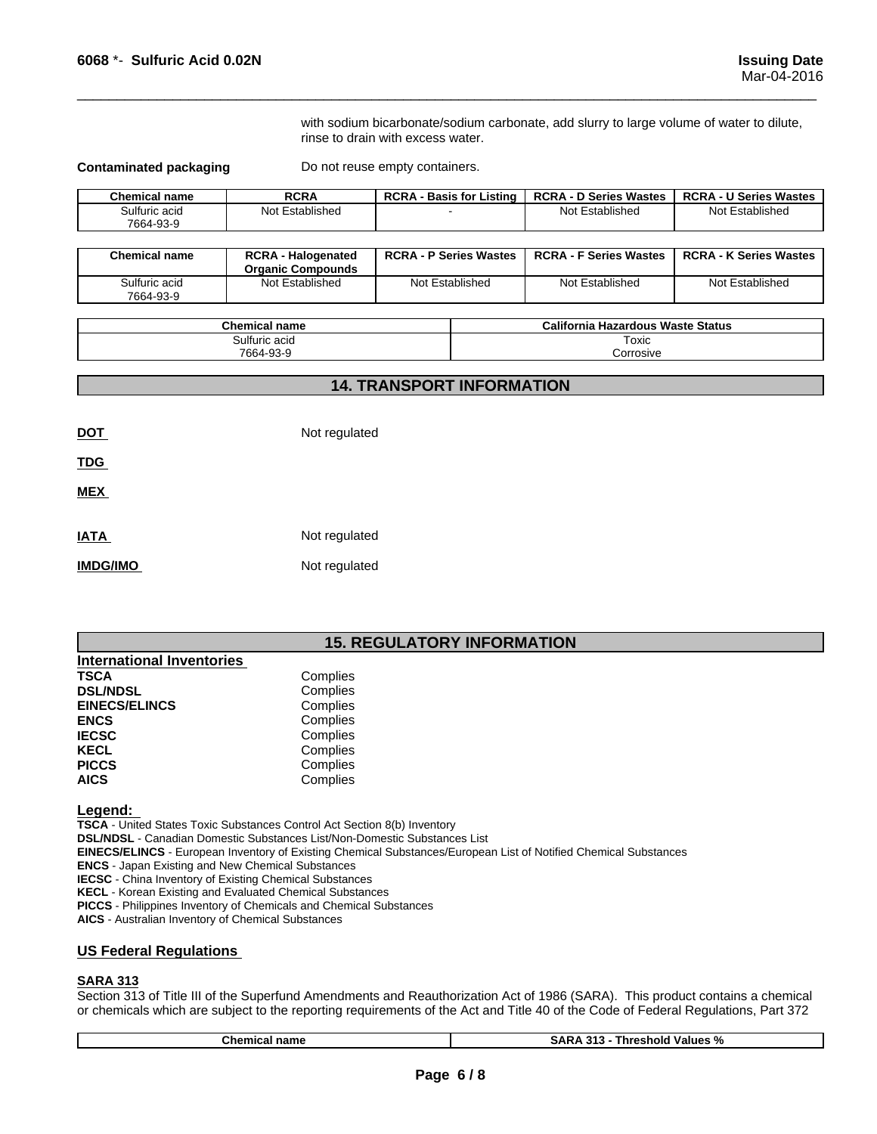with sodium bicarbonate/sodium carbonate, add slurry to large volume of water to dilute, rinse to drain with excess water.

 $\overline{\phantom{a}}$  ,  $\overline{\phantom{a}}$  ,  $\overline{\phantom{a}}$  ,  $\overline{\phantom{a}}$  ,  $\overline{\phantom{a}}$  ,  $\overline{\phantom{a}}$  ,  $\overline{\phantom{a}}$  ,  $\overline{\phantom{a}}$  ,  $\overline{\phantom{a}}$  ,  $\overline{\phantom{a}}$  ,  $\overline{\phantom{a}}$  ,  $\overline{\phantom{a}}$  ,  $\overline{\phantom{a}}$  ,  $\overline{\phantom{a}}$  ,  $\overline{\phantom{a}}$  ,  $\overline{\phantom{a}}$ 

**Contaminated packaging Do not reuse empty containers.** 

| <b>Chemical name</b>       | <b>RCRA</b>          | <b>RCRA</b><br><b>Basis for Listing</b> | <b>RCRA - D Series Wastes</b> | <b>RCRA-</b><br>· U Series Wastes |
|----------------------------|----------------------|-----------------------------------------|-------------------------------|-----------------------------------|
| Sulfuric acid<br>7664-93-9 | Established<br>Not . |                                         | Not Established               | Not Established                   |

| <b>Chemical name</b>       | <b>RCRA - Halogenated</b><br><b>Organic Compounds</b> | <b>RCRA - P Series Wastes</b> | <b>RCRA - F Series Wastes</b> | <b>RCRA - K Series Wastes</b> |
|----------------------------|-------------------------------------------------------|-------------------------------|-------------------------------|-------------------------------|
| Sulfuric acid<br>7664-93-9 | Not Established                                       | Not Established               | Not Established               | Not Established               |

| <b>Chemical name</b> | California<br><b>Hazardous Waste Status</b> |
|----------------------|---------------------------------------------|
| Sulfuric acid        | Toxic                                       |
| 7664-93<br>3-S       | corrosive.                                  |

#### **14. TRANSPORT INFORMATION**

**DOT** Not regulated

**TDG** 

**MEX** 

| IATA     | Not regulated |
|----------|---------------|
| IMDG/IMO | Not regulated |

#### **15. REGULATORY INFORMATION**

| <b>International Inventories</b> |          |
|----------------------------------|----------|
| <b>TSCA</b>                      | Complies |
| <b>DSL/NDSL</b>                  | Complies |
| <b>EINECS/ELINCS</b>             | Complies |
| <b>ENCS</b>                      | Complies |
| <b>IECSC</b>                     | Complies |
| <b>KECL</b>                      | Complies |
| <b>PICCS</b>                     | Complies |
| <b>AICS</b>                      | Complies |

#### **Legend:**

**TSCA** - United States Toxic Substances Control Act Section 8(b) Inventory

- **DSL/NDSL**  Canadian Domestic Substances List/Non-Domestic Substances List
- **EINECS/ELINCS**  European Inventory of Existing Chemical Substances/European List of Notified Chemical Substances

**ENCS** - Japan Existing and New Chemical Substances

**IECSC** - China Inventory of Existing Chemical Substances

**KECL** - Korean Existing and Evaluated Chemical Substances

**PICCS** - Philippines Inventory of Chemicals and Chemical Substances

**AICS** - Australian Inventory of Chemical Substances

#### **US Federal Regulations**

#### **SARA 313**

Section 313 of Title III of the Superfund Amendments and Reauthorization Act of 1986 (SARA). This product contains a chemical or chemicals which are subject to the reporting requirements of the Act and Title 40 of the Code of Federal Regulations, Part 372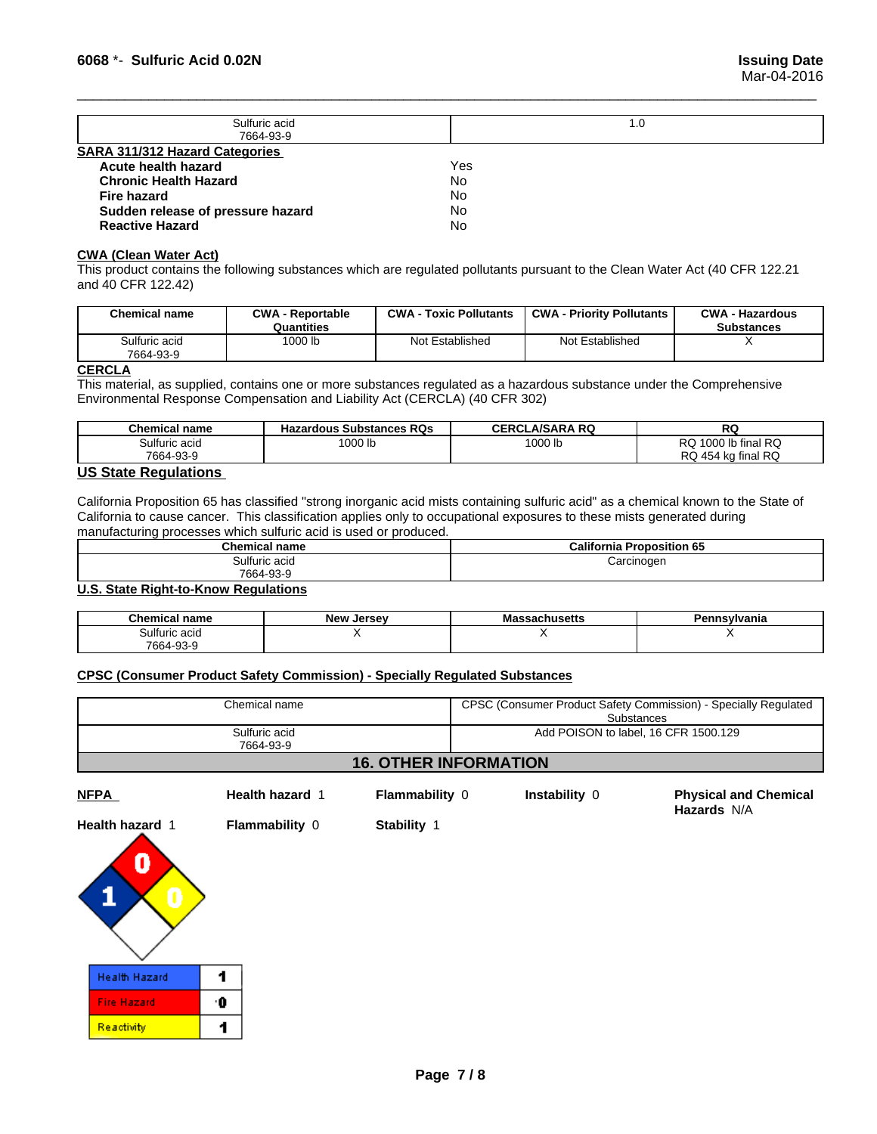**Hazards** N/A

| Sulfuric acid                         | 1.0 |
|---------------------------------------|-----|
| 7664-93-9                             |     |
| <b>SARA 311/312 Hazard Categories</b> |     |
| Acute health hazard                   | Yes |
| <b>Chronic Health Hazard</b>          | No  |
| Fire hazard                           | No  |
| Sudden release of pressure hazard     | No  |
| <b>Reactive Hazard</b>                | No  |

 $\overline{\phantom{a}}$  ,  $\overline{\phantom{a}}$  ,  $\overline{\phantom{a}}$  ,  $\overline{\phantom{a}}$  ,  $\overline{\phantom{a}}$  ,  $\overline{\phantom{a}}$  ,  $\overline{\phantom{a}}$  ,  $\overline{\phantom{a}}$  ,  $\overline{\phantom{a}}$  ,  $\overline{\phantom{a}}$  ,  $\overline{\phantom{a}}$  ,  $\overline{\phantom{a}}$  ,  $\overline{\phantom{a}}$  ,  $\overline{\phantom{a}}$  ,  $\overline{\phantom{a}}$  ,  $\overline{\phantom{a}}$ 

#### **CWA** (Clean Water Act)

This product contains the following substances which are regulated pollutants pursuant to the Clean Water Act (40 CFR 122.21 and 40 CFR 122.42)

| <b>Chemical name</b>       | <b>CWA - Reportable</b><br>Quantities | <b>CWA - Toxic Pollutants</b> | <b>CWA - Priority Pollutants</b> | <b>CWA - Hazardous</b><br><b>Substances</b> |
|----------------------------|---------------------------------------|-------------------------------|----------------------------------|---------------------------------------------|
| Sulfuric acid<br>7664-93-9 | 1000 lb                               | Not Established               | Not Established                  |                                             |

#### **CERCLA**

This material, as supplied, contains one or more substances regulated as a hazardous substance under the Comprehensive Environmental Response Compensation and Liability Act (CERCLA) (40 CFR 302)

| <b>Chemical name</b>          | <b>Hazardous Substances RQs</b> | <b>CERCLA/SARA RQ</b> | RG                              |
|-------------------------------|---------------------------------|-----------------------|---------------------------------|
| Sulfuric acid                 | 1000 lb                         | 1000 lb               | Ib final RQ<br>מפ<br>1000<br>שע |
| 7664-93-9                     |                                 |                       | l 454 ka final RQ<br>RQ         |
| $110.04 - 1.00$ $1.41 - 1.00$ |                                 |                       |                                 |

#### **US State Regulations**

California Proposition 65 has classified "strong inorganic acid mists containing sulfuric acid" as a chemical known to the State of California to cause cancer. This classification applies only to occupational exposures to these mists generated during manufacturing processes which sulfuric acid is used or produced.

| Chemical<br>name           | California<br>Proposition 65 |
|----------------------------|------------------------------|
| Sulfuric acid<br>7664-93-9 | Carcinogen                   |
|                            |                              |

**U.S. State Right-to-Know Regulations**

| <b>Chemical name</b>   | New<br>Jersev | massachusells | `nsylvania<br>ышк |
|------------------------|---------------|---------------|-------------------|
| ulfuric acidد <b>۔</b> |               |               |                   |
| 7664-93-9              |               |               |                   |

#### **CPSC (Consumer Product Safety Commission) - Specially Regulated Substances**

| Chemical name                | CPSC (Consumer Product Safety Commission) - Specially Regulated<br>Substances |  |
|------------------------------|-------------------------------------------------------------------------------|--|
| Sulfuric acid<br>7664-93-9   | Add POISON to label, 16 CFR 1500.129                                          |  |
| <b>16. OTHER INFORMATION</b> |                                                                               |  |

**NFPA Health hazard** 1**Flammability** 0 **Instability** 0 **Physical and Chemical**